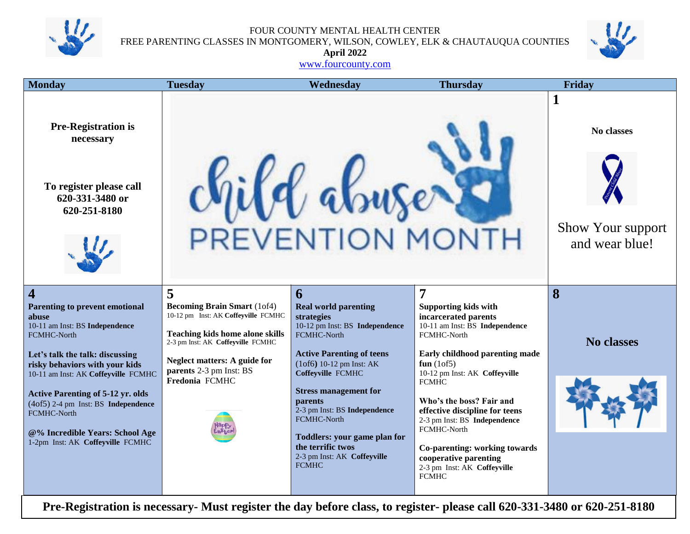

FOUR COUNTY MENTAL HEALTH CENTER FREE PARENTING CLASSES IN MONTGOMERY, WILSON, COWLEY, ELK & CHAUTAUQUA COUNTIES



**April 2022** [www.fourcounty.com](http://www.fourcounty.com/)

| <b>Monday</b>                                                                                                                                                                                                                                                                                                                                                                                                   | <b>Tuesday</b>                                                                                                                                                                                                                                    | Wednesday                                                                                                                                                                                                                                                                                                                                                                            | <b>Thursday</b>                                                                                                                                                                                                                                                                                                                                                                                                                    | Friday                                                        |  |  |
|-----------------------------------------------------------------------------------------------------------------------------------------------------------------------------------------------------------------------------------------------------------------------------------------------------------------------------------------------------------------------------------------------------------------|---------------------------------------------------------------------------------------------------------------------------------------------------------------------------------------------------------------------------------------------------|--------------------------------------------------------------------------------------------------------------------------------------------------------------------------------------------------------------------------------------------------------------------------------------------------------------------------------------------------------------------------------------|------------------------------------------------------------------------------------------------------------------------------------------------------------------------------------------------------------------------------------------------------------------------------------------------------------------------------------------------------------------------------------------------------------------------------------|---------------------------------------------------------------|--|--|
| <b>Pre-Registration is</b><br>necessary<br>To register please call<br>620-331-3480 or<br>620-251-8180                                                                                                                                                                                                                                                                                                           |                                                                                                                                                                                                                                                   | PREVENTION MONTH                                                                                                                                                                                                                                                                                                                                                                     |                                                                                                                                                                                                                                                                                                                                                                                                                                    | 1<br>No classes<br><b>Show Your support</b><br>and wear blue! |  |  |
| $\overline{\mathbf{4}}$<br>Parenting to prevent emotional<br>abuse<br>10-11 am Inst: BS Independence<br><b>FCMHC-North</b><br>Let's talk the talk: discussing<br>risky behaviors with your kids<br>10-11 am Inst: AK Coffeyville FCMHC<br><b>Active Parenting of 5-12 yr. olds</b><br>(4of5) 2-4 pm Inst: BS Independence<br>FCMHC-North<br>@% Incredible Years: School Age<br>1-2pm Inst: AK Coffeyville FCMHC | 5<br><b>Becoming Brain Smart (1of4)</b><br>10-12 pm Inst: AK Coffeyville FCMHC<br><b>Teaching kids home alone skills</b><br>2-3 pm Inst: AK Coffeyville FCMHC<br><b>Neglect matters: A guide for</b><br>parents 2-3 pm Inst: BS<br>Fredonia FCMHC | 6<br><b>Real world parenting</b><br>strategies<br>10-12 pm Inst: BS Independence<br>FCMHC-North<br><b>Active Parenting of teens</b><br>$(10f6)$ 10-12 pm Inst: AK<br>Coffeyville FCMHC<br><b>Stress management for</b><br>parents<br>2-3 pm Inst: BS Independence<br>FCMHC-North<br>Toddlers: your game plan for<br>the terrific twos<br>2-3 pm Inst: AK Coffeyville<br><b>FCMHC</b> | 7<br><b>Supporting kids with</b><br>incarcerated parents<br>10-11 am Inst: BS Independence<br>FCMHC-North<br>Early childhood parenting made<br>fun $(10f5)$<br>10-12 pm Inst: AK Coffeyville<br><b>FCMHC</b><br>Who's the boss? Fair and<br>effective discipline for teens<br>2-3 pm Inst: BS Independence<br>FCMHC-North<br>Co-parenting: working towards<br>cooperative parenting<br>2-3 pm Inst: AK Coffeyville<br><b>FCMHC</b> | 8<br><b>No classes</b>                                        |  |  |
| Pre-Registration is necessary- Must register the day before class, to register- please call 620-331-3480 or 620-251-8180                                                                                                                                                                                                                                                                                        |                                                                                                                                                                                                                                                   |                                                                                                                                                                                                                                                                                                                                                                                      |                                                                                                                                                                                                                                                                                                                                                                                                                                    |                                                               |  |  |

**Pre-Registration is necessary- Must register the day before class, to register- please call 620-331-3480 or 620-251-8180**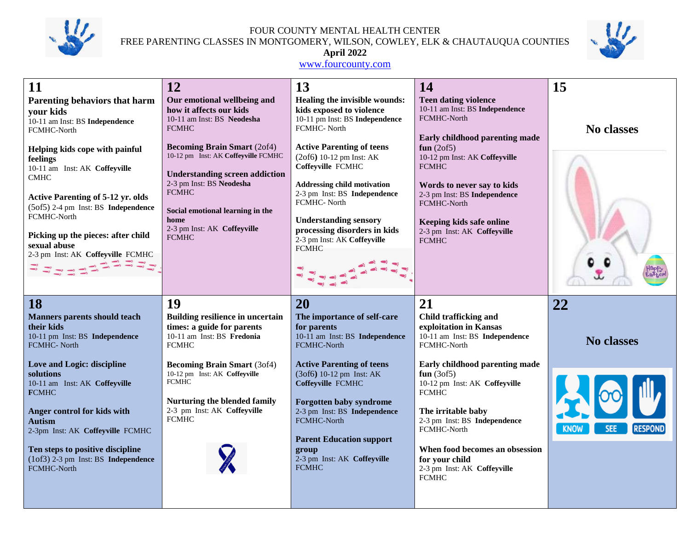

FOUR COUNTY MENTAL HEALTH CENTER FREE PARENTING CLASSES IN MONTGOMERY, WILSON, COWLEY, ELK & CHAUTAUQUA COUNTIES



#### **April 2022**

#### [www.fourcounty.com](http://www.fourcounty.com/)

| 11                                                                                                                                                                                                                                                                                                                                                                                                      | 12                                                                                                                                                                                                                                                                                                                                                                | 13                                                                                                                                                                                                                                                                                                                                                                                                   | 14                                                                                                                                                                                                                                                                                                                                      | 15                                          |
|---------------------------------------------------------------------------------------------------------------------------------------------------------------------------------------------------------------------------------------------------------------------------------------------------------------------------------------------------------------------------------------------------------|-------------------------------------------------------------------------------------------------------------------------------------------------------------------------------------------------------------------------------------------------------------------------------------------------------------------------------------------------------------------|------------------------------------------------------------------------------------------------------------------------------------------------------------------------------------------------------------------------------------------------------------------------------------------------------------------------------------------------------------------------------------------------------|-----------------------------------------------------------------------------------------------------------------------------------------------------------------------------------------------------------------------------------------------------------------------------------------------------------------------------------------|---------------------------------------------|
| <b>Parenting behaviors that harm</b><br>your kids<br>10-11 am Inst: BS Independence<br>FCMHC-North<br>Helping kids cope with painful<br>feelings<br>10-11 am Inst: AK Coffeyville<br><b>CMHC</b><br><b>Active Parenting of 5-12 yr. olds</b><br>(5of5) 2-4 pm Inst: BS Independence<br>FCMHC-North<br>Picking up the pieces: after child<br>sexual abuse<br>2-3 pm Inst: AK Coffeyville FCMHC<br>335553 | Our emotional wellbeing and<br>how it affects our kids<br>10-11 am Inst: BS Neodesha<br><b>FCMHC</b><br><b>Becoming Brain Smart (2of4)</b><br>10-12 pm Inst: AK Coffeyville FCMHC<br><b>Understanding screen addiction</b><br>2-3 pm Inst: BS Neodesha<br><b>FCMHC</b><br>Social emotional learning in the<br>home<br>2-3 pm Inst: AK Coffeyville<br><b>FCMHC</b> | Healing the invisible wounds:<br>kids exposed to violence<br>10-11 pm Inst: BS Independence<br>FCMHC-North<br><b>Active Parenting of teens</b><br>(2of6) 10-12 pm Inst: AK<br>Coffeyville FCMHC<br><b>Addressing child motivation</b><br>2-3 pm Inst: BS Independence<br>FCMHC- North<br><b>Understanding sensory</b><br>processing disorders in kids<br>2-3 pm Inst: AK Coffeyville<br><b>FCMHC</b> | <b>Teen dating violence</b><br>10-11 am Inst: BS Independence<br>FCMHC-North<br>Early childhood parenting made<br>fun $(2of5)$<br>10-12 pm Inst: AK Coffeyville<br><b>FCMHC</b><br>Words to never say to kids<br>2-3 pm Inst: BS Independence<br>FCMHC-North<br>Keeping kids safe online<br>2-3 pm Inst: AK Coffeyville<br><b>FCMHC</b> | <b>No classes</b>                           |
| 18<br><b>Manners parents should teach</b><br>their kids<br>10-11 pm Inst: BS Independence<br><b>FCMHC-North</b>                                                                                                                                                                                                                                                                                         | 19<br><b>Building resilience in uncertain</b><br>times: a guide for parents<br>10-11 am Inst: BS Fredonia<br><b>FCMHC</b>                                                                                                                                                                                                                                         | 20<br>The importance of self-care<br>for parents<br>10-11 am Inst: BS Independence<br>FCMHC-North                                                                                                                                                                                                                                                                                                    | 21<br>Child trafficking and<br>exploitation in Kansas<br>10-11 am Inst: BS Independence<br>FCMHC-North                                                                                                                                                                                                                                  | 22<br><b>No classes</b>                     |
| Love and Logic: discipline<br>solutions<br>10-11 am Inst: AK Coffeyville<br><b>FCMHC</b><br>Anger control for kids with<br><b>Autism</b><br>2-3pm Inst: AK Coffeyville FCMHC                                                                                                                                                                                                                            | <b>Becoming Brain Smart (3of4)</b><br>10-12 pm Inst: AK Coffeyville<br><b>FCMHC</b><br>Nurturing the blended family<br>2-3 pm Inst: AK Coffeyville<br><b>FCMHC</b>                                                                                                                                                                                                | <b>Active Parenting of teens</b><br>(3of6) 10-12 pm Inst: AK<br>Coffeyville FCMHC<br><b>Forgotten baby syndrome</b><br>2-3 pm Inst: BS Independence<br>FCMHC-North<br><b>Parent Education support</b>                                                                                                                                                                                                | Early childhood parenting made<br>fun $(3of5)$<br>10-12 pm Inst: AK Coffeyville<br><b>FCMHC</b><br>The irritable baby<br>2-3 pm Inst: BS Independence<br>FCMHC-North                                                                                                                                                                    | <b>RESPOND</b><br><b>SEE</b><br><b>KNOW</b> |
| Ten steps to positive discipline<br>(1of3) 2-3 pm Inst: BS Independence<br>FCMHC-North                                                                                                                                                                                                                                                                                                                  |                                                                                                                                                                                                                                                                                                                                                                   | group<br>2-3 pm Inst: AK Coffeyville<br><b>FCMHC</b>                                                                                                                                                                                                                                                                                                                                                 | When food becomes an obsession<br>for your child<br>2-3 pm Inst: AK Coffeyville                                                                                                                                                                                                                                                         |                                             |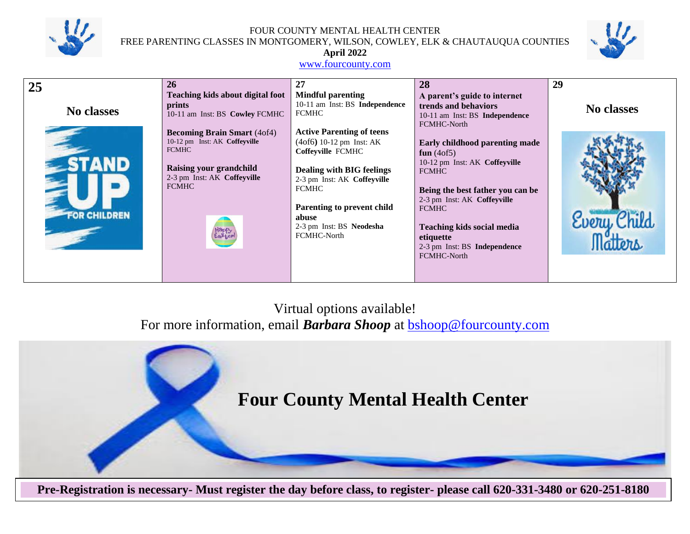

FOUR COUNTY MENTAL HEALTH CENTER FREE PARENTING CLASSES IN MONTGOMERY, WILSON, COWLEY, ELK & CHAUTAUQUA COUNTIES



# **April 2022**

#### [www.fourcounty.com](http://www.fourcounty.com/)

| 25                  | 26                                            | 27                                          | 28                                          | 29                |
|---------------------|-----------------------------------------------|---------------------------------------------|---------------------------------------------|-------------------|
|                     | Teaching kids about digital foot              | <b>Mindful parenting</b>                    | A parent's guide to internet                |                   |
|                     | prints                                        | 10-11 am Inst: BS Independence              | trends and behaviors                        | <b>No classes</b> |
| No classes          | 10-11 am Inst: BS Cowley FCMHC                | <b>FCMHC</b>                                | 10-11 am Inst: BS Independence              |                   |
|                     |                                               |                                             | FCMHC-North                                 |                   |
|                     | <b>Becoming Brain Smart</b> (4of4)            | <b>Active Parenting of teens</b>            |                                             |                   |
|                     | 10-12 pm Inst: AK Coffeyville<br><b>FCMHC</b> | $(4off)$ 10-12 pm Inst: AK                  | Early childhood parenting made              |                   |
|                     |                                               | Coffeyville FCMHC                           | fun $(4of5)$                                |                   |
|                     | Raising your grandchild                       |                                             | 10-12 pm Inst: AK Coffeyville               |                   |
|                     | 2-3 pm Inst: AK Coffeyville                   | <b>Dealing with BIG feelings</b>            | <b>FCMHC</b>                                |                   |
|                     | <b>FCMHC</b>                                  | 2-3 pm Inst: AK Coffeyville<br><b>FCMHC</b> |                                             |                   |
|                     |                                               |                                             | Being the best father you can be            |                   |
|                     |                                               | Parenting to prevent child                  | 2-3 pm Inst: AK Coffeyville<br><b>FCMHC</b> |                   |
| <b>FOR CHILDREN</b> |                                               | abuse                                       |                                             |                   |
|                     |                                               | 2-3 pm Inst: BS Neodesha                    | <b>Teaching kids social media</b>           | Every             |
|                     |                                               | FCMHC-North                                 | etiquette                                   |                   |
|                     |                                               |                                             | 2-3 pm Inst: BS Independence                |                   |
|                     |                                               |                                             | FCMHC-North                                 |                   |
|                     |                                               |                                             |                                             |                   |
|                     |                                               |                                             |                                             |                   |

# Virtual options available! For more information, email **Barbara Shoop** at **bshoop@fourcounty.com**



**Pre-Registration is necessary- Must register the day before class, to register- please call 620-331-3480 or 620-251-8180**